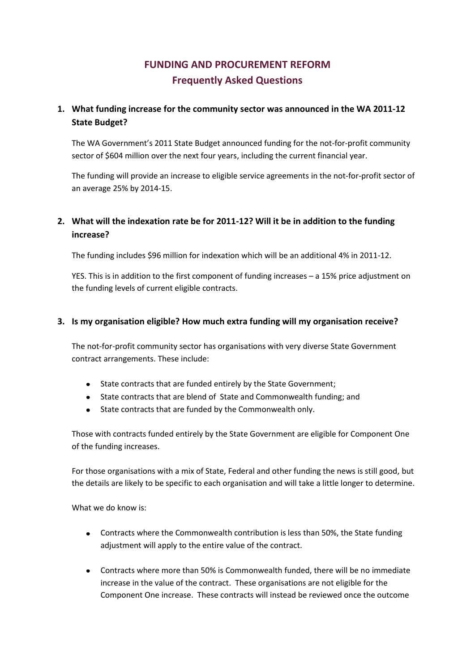# **FUNDING AND PROCUREMENT REFORM Frequently Asked Questions**

# **1. What funding increase for the community sector was announced in the WA 2011-12 State Budget?**

The WA Government's 2011 State Budget announced funding for the not-for-profit community sector of \$604 million over the next four years, including the current financial year.

The funding will provide an increase to eligible service agreements in the not-for-profit sector of an average 25% by 2014-15.

# **2. What will the indexation rate be for 2011-12? Will it be in addition to the funding increase?**

The funding includes \$96 million for indexation which will be an additional 4% in 2011-12.

YES. This is in addition to the first component of funding increases – a 15% price adjustment on the funding levels of current eligible contracts.

## **3. Is my organisation eligible? How much extra funding will my organisation receive?**

The not-for-profit community sector has organisations with very diverse State Government contract arrangements. These include:

- State contracts that are funded entirely by the State Government;  $\bullet$
- State contracts that are blend of State and Commonwealth funding; and
- State contracts that are funded by the Commonwealth only.

Those with contracts funded entirely by the State Government are eligible for Component One of the funding increases.

For those organisations with a mix of State, Federal and other funding the news is still good, but the details are likely to be specific to each organisation and will take a little longer to determine.

What we do know is:

- Contracts where the Commonwealth contribution is less than 50%, the State funding adjustment will apply to the entire value of the contract.
- Contracts where more than 50% is Commonwealth funded, there will be no immediate increase in the value of the contract. These organisations are not eligible for the Component One increase. These contracts will instead be reviewed once the outcome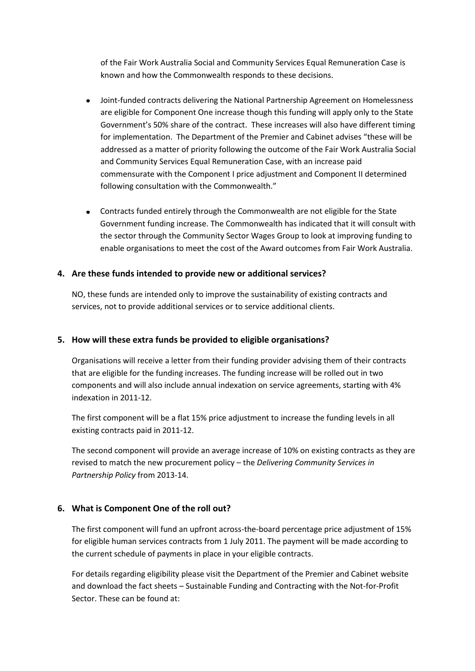of the Fair Work Australia Social and Community Services Equal Remuneration Case is known and how the Commonwealth responds to these decisions.

- Joint-funded contracts delivering the National Partnership Agreement on Homelessness are eligible for Component One increase though this funding will apply only to the State Government's 50% share of the contract. These increases will also have different timing for implementation. The Department of the Premier and Cabinet advises "these will be addressed as a matter of priority following the outcome of the Fair Work Australia Social and Community Services Equal Remuneration Case, with an increase paid commensurate with the Component I price adjustment and Component II determined following consultation with the Commonwealth."
- Contracts funded entirely through the Commonwealth are not eligible for the State Government funding increase. The Commonwealth has indicated that it will consult with the sector through the Community Sector Wages Group to look at improving funding to enable organisations to meet the cost of the Award outcomes from Fair Work Australia.

## **4. Are these funds intended to provide new or additional services?**

NO, these funds are intended only to improve the sustainability of existing contracts and services, not to provide additional services or to service additional clients.

#### **5. How will these extra funds be provided to eligible organisations?**

Organisations will receive a letter from their funding provider advising them of their contracts that are eligible for the funding increases. The funding increase will be rolled out in two components and will also include annual indexation on service agreements, starting with 4% indexation in 2011-12.

The first component will be a flat 15% price adjustment to increase the funding levels in all existing contracts paid in 2011-12.

The second component will provide an average increase of 10% on existing contracts as they are revised to match the new procurement policy – the *Delivering Community Services in Partnership Policy* from 2013-14.

#### **6. What is Component One of the roll out?**

The first component will fund an upfront across-the-board percentage price adjustment of 15% for eligible human services contracts from 1 July 2011. The payment will be made according to the current schedule of payments in place in your eligible contracts.

For details regarding eligibility please visit the Department of the Premier and Cabinet website and download the fact sheets – Sustainable Funding and Contracting with the Not-for-Profit Sector. These can be found at: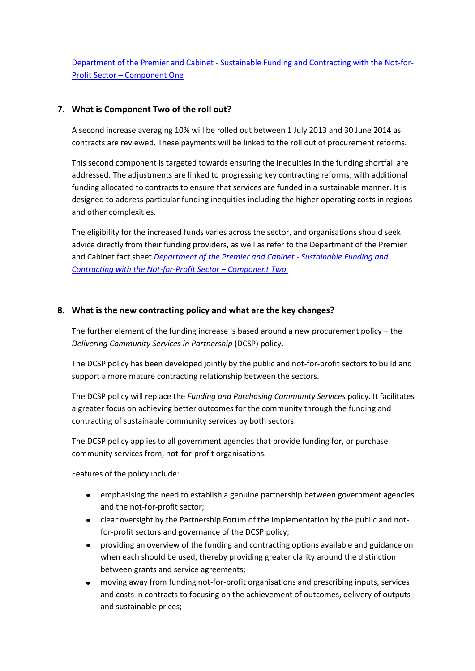Department of the Premier and Cabinet - [Sustainable Funding and Contracting with the Not-for-](http://www.dpc.wa.gov.au/Publications/EconomicAuditReport/Documents/Budget%20Fact%20Sheet%20-%20Component%20I.pdf)Profit Sector – [Component One](http://www.dpc.wa.gov.au/Publications/EconomicAuditReport/Documents/Budget%20Fact%20Sheet%20-%20Component%20I.pdf)

## **7. What is Component Two of the roll out?**

A second increase averaging 10% will be rolled out between 1 July 2013 and 30 June 2014 as contracts are reviewed. These payments will be linked to the roll out of procurement reforms.

This second component is targeted towards ensuring the inequities in the funding shortfall are addressed. The adjustments are linked to progressing key contracting reforms, with additional funding allocated to contracts to ensure that services are funded in a sustainable manner. It is designed to address particular funding inequities including the higher operating costs in regions and other complexities.

The eligibility for the increased funds varies across the sector, and organisations should seek advice directly from their funding providers, as well as refer to the Department of the Premier and Cabinet fact sheet *[Department of the Premier and Cabinet -](http://www.dpc.wa.gov.au/Publications/EconomicAuditReport/Documents/Budget%20Fact%20Sheet%20-%20Component%20II.pdf) Sustainable Funding and [Contracting with the Not-for-Profit Sector](http://www.dpc.wa.gov.au/Publications/EconomicAuditReport/Documents/Budget%20Fact%20Sheet%20-%20Component%20II.pdf) – Component Two.*

## **8. What is the new contracting policy and what are the key changes?**

The further element of the funding increase is based around a new procurement policy – the *Delivering Community Services in Partnership* (DCSP) policy.

The DCSP policy has been developed jointly by the public and not-for-profit sectors to build and support a more mature contracting relationship between the sectors.

The DCSP policy will replace the *Funding and Purchasing Community Services* policy. It facilitates a greater focus on achieving better outcomes for the community through the funding and contracting of sustainable community services by both sectors.

The DCSP policy applies to all government agencies that provide funding for, or purchase community services from, not-for-profit organisations.

Features of the policy include:

- emphasising the need to establish a genuine partnership between government agencies and the not-for-profit sector;
- clear oversight by the Partnership Forum of the implementation by the public and notfor-profit sectors and governance of the DCSP policy;
- providing an overview of the funding and contracting options available and guidance on  $\bullet$ when each should be used, thereby providing greater clarity around the distinction between grants and service agreements;
- moving away from funding not-for-profit organisations and prescribing inputs, services and costs in contracts to focusing on the achievement of outcomes, delivery of outputs and sustainable prices;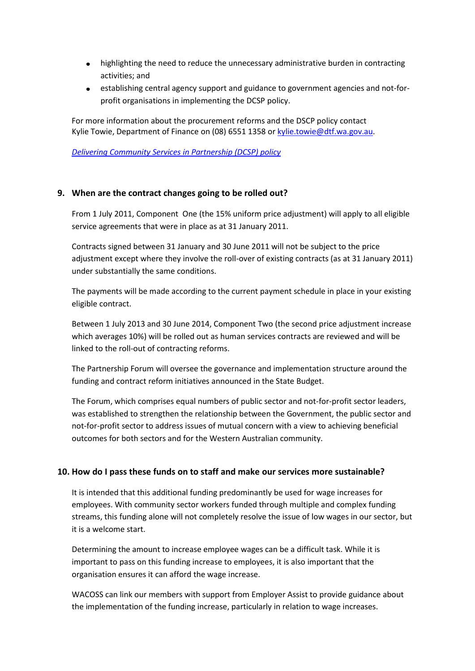- highlighting the need to reduce the unnecessary administrative burden in contracting activities; and
- establishing central agency support and guidance to government agencies and not-forprofit organisations in implementing the DCSP policy.

For more information about the procurement reforms and the DSCP policy contact Kylie Towie, Department of Finance on (08) 6551 1358 o[r kylie.towie@dtf.wa.gov.au.](mailto:kylie.towie@dtf.wa.gov.au)

*[Delivering Community Services in Partnership](http://www.dpc.wa.gov.au/Publications/EconomicAuditReport/Documents/Budget%20Fact%20Sheet%20-%20The%20DCSP%20Policy.pdf) (DCSP) policy*

#### **9. When are the contract changes going to be rolled out?**

From 1 July 2011, Component One (the 15% uniform price adjustment) will apply to all eligible service agreements that were in place as at 31 January 2011.

Contracts signed between 31 January and 30 June 2011 will not be subject to the price adjustment except where they involve the roll-over of existing contracts (as at 31 January 2011) under substantially the same conditions.

The payments will be made according to the current payment schedule in place in your existing eligible contract.

Between 1 July 2013 and 30 June 2014, Component Two (the second price adjustment increase which averages 10%) will be rolled out as human services contracts are reviewed and will be linked to the roll-out of contracting reforms.

The Partnership Forum will oversee the governance and implementation structure around the funding and contract reform initiatives announced in the State Budget.

The Forum, which comprises equal numbers of public sector and not-for-profit sector leaders, was established to strengthen the relationship between the Government, the public sector and not-for-profit sector to address issues of mutual concern with a view to achieving beneficial outcomes for both sectors and for the Western Australian community.

#### **10. How do I pass these funds on to staff and make our services more sustainable?**

It is intended that this additional funding predominantly be used for wage increases for employees. With community sector workers funded through multiple and complex funding streams, this funding alone will not completely resolve the issue of low wages in our sector, but it is a welcome start.

Determining the amount to increase employee wages can be a difficult task. While it is important to pass on this funding increase to employees, it is also important that the organisation ensures it can afford the wage increase.

WACOSS can link our members with support from Employer Assist to provide guidance about the implementation of the funding increase, particularly in relation to wage increases.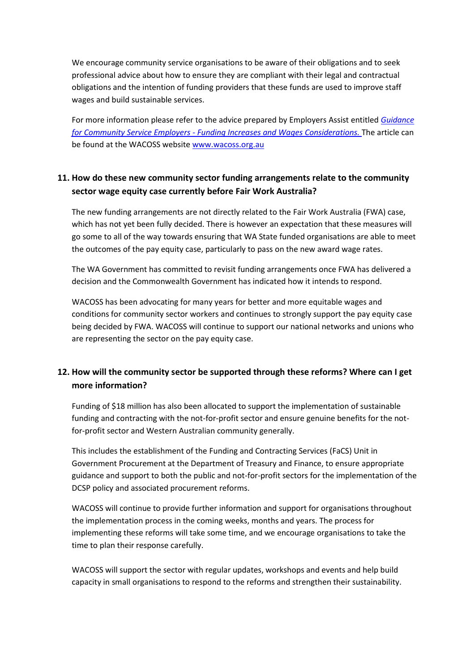We encourage community service organisations to be aware of their obligations and to seek professional advice about how to ensure they are compliant with their legal and contractual obligations and the intention of funding providers that these funds are used to improve staff wages and build sustainable services.

For more information please refer to the advice prepared by Employers Assist entitled *[Guidance](http://www.wacoss.org.au/Libraries/Publications_Community_Sector_Reform_Updates/GuidanceforEmployers.sflb.ashx)  for Community Service Employers - [Funding Increases and Wages Considerations.](http://www.wacoss.org.au/Libraries/Publications_Community_Sector_Reform_Updates/GuidanceforEmployers.sflb.ashx)* The article can be found at the WACOSS website [www.wacoss.org.au](http://www.wacoss.org.au/)

# **11. How do these new community sector funding arrangements relate to the community sector wage equity case currently before Fair Work Australia?**

The new funding arrangements are not directly related to the Fair Work Australia (FWA) case, which has not yet been fully decided. There is however an expectation that these measures will go some to all of the way towards ensuring that WA State funded organisations are able to meet the outcomes of the pay equity case, particularly to pass on the new award wage rates.

The WA Government has committed to revisit funding arrangements once FWA has delivered a decision and the Commonwealth Government has indicated how it intends to respond.

WACOSS has been advocating for many years for better and more equitable wages and conditions for community sector workers and continues to strongly support the pay equity case being decided by FWA. WACOSS will continue to support our national networks and unions who are representing the sector on the pay equity case.

# **12. How will the community sector be supported through these reforms? Where can I get more information?**

Funding of \$18 million has also been allocated to support the implementation of sustainable funding and contracting with the not-for-profit sector and ensure genuine benefits for the notfor-profit sector and Western Australian community generally.

This includes the establishment of the Funding and Contracting Services (FaCS) Unit in Government Procurement at the Department of Treasury and Finance, to ensure appropriate guidance and support to both the public and not-for-profit sectors for the implementation of the DCSP policy and associated procurement reforms.

WACOSS will continue to provide further information and support for organisations throughout the implementation process in the coming weeks, months and years. The process for implementing these reforms will take some time, and we encourage organisations to take the time to plan their response carefully.

WACOSS will support the sector with regular updates, workshops and events and help build capacity in small organisations to respond to the reforms and strengthen their sustainability.